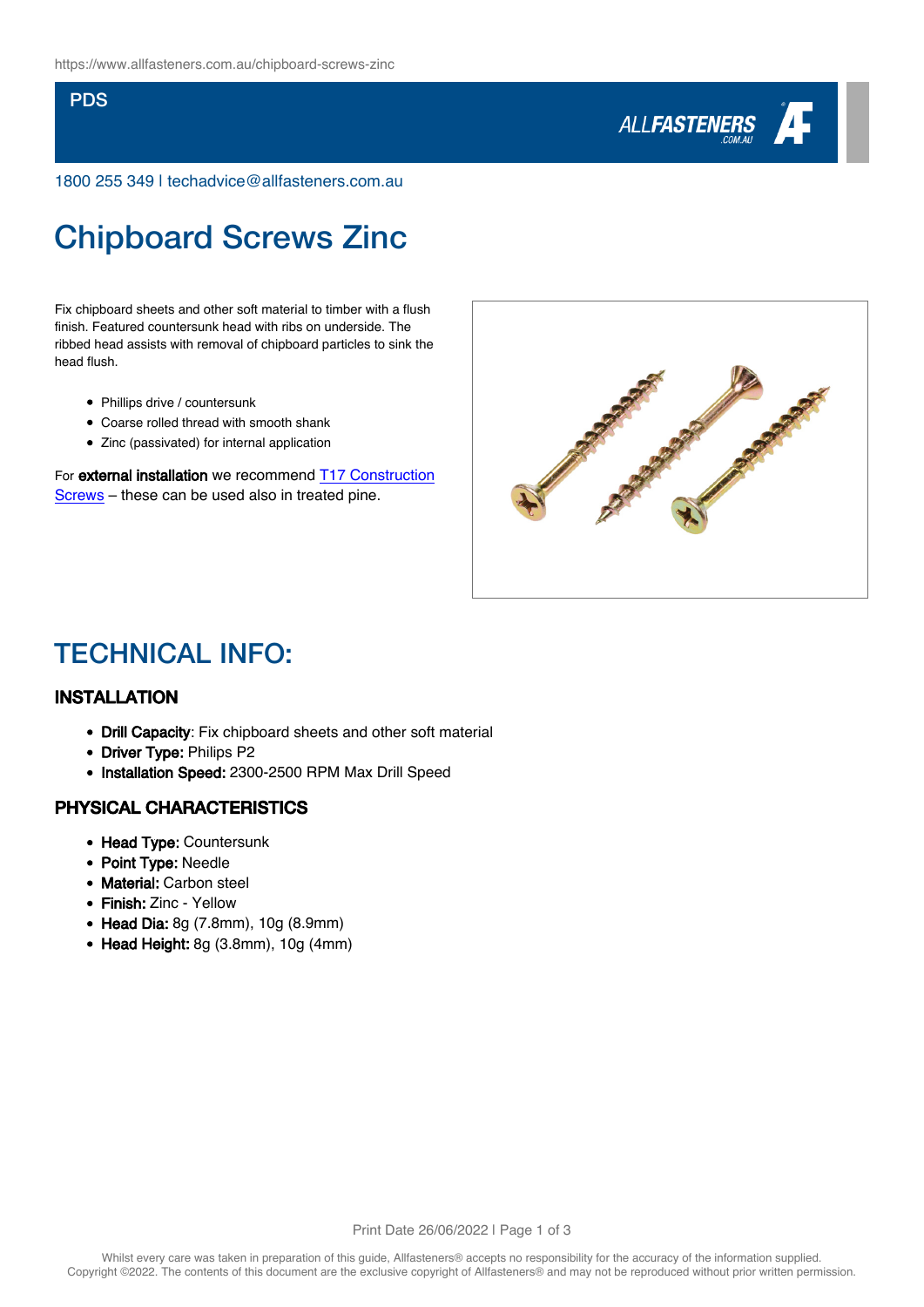#### PDS



1800 255 349 | techadvice@allfasteners.com.au

# Chipboard Screws Zinc

Fix chipboard sheets and other soft material to timber with a flush finish. Featured countersunk head with ribs on underside. The ribbed head assists with removal of chipboard particles to sink the head flush.

- Phillips drive / countersunk
- Coarse rolled thread with smooth shank
- Zinc (passivated) for internal application

For external installation we recommend [T17 Construction](https://www.allfasteners.com.au/t17-construction-screws) [Screws](https://www.allfasteners.com.au/t17-construction-screws) – these can be used also in treated pine.



### TECHNICAL INFO:

#### INSTALLATION

- Drill Capacity: Fix chipboard sheets and other soft material
- Driver Type: Philips P2
- Installation Speed: 2300-2500 RPM Max Drill Speed

#### PHYSICAL CHARACTERISTICS

- Head Type: Countersunk
- Point Type: Needle
- Material: Carbon steel
- Finish: Zinc Yellow
- Head Dia: 8g (7.8mm), 10g (8.9mm)
- $\bullet$  Head Height: 8g (3.8mm), 10g (4mm)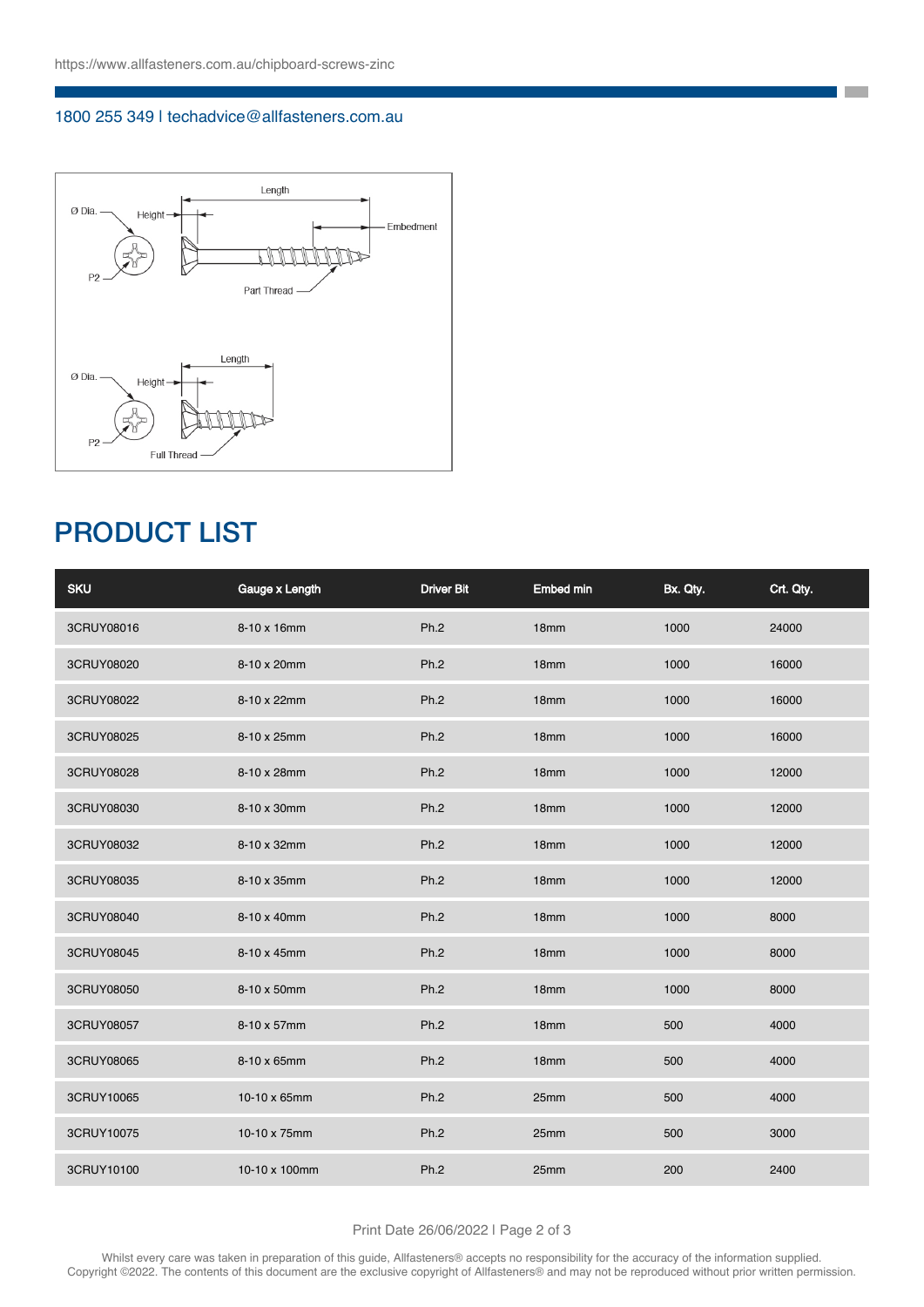#### 1800 255 349 | techadvice@allfasteners.com.au



## PRODUCT LIST

| <b>SKU</b> | Gauge x Length | <b>Driver Bit</b> | <b>Embed min</b> | Bx. Qty. | Crt. Qty. |
|------------|----------------|-------------------|------------------|----------|-----------|
| 3CRUY08016 | 8-10 x 16mm    | Ph.2              | 18 <sub>mm</sub> | 1000     | 24000     |
| 3CRUY08020 | 8-10 x 20mm    | Ph.2              | 18mm             | 1000     | 16000     |
| 3CRUY08022 | 8-10 x 22mm    | Ph.2              | 18mm             | 1000     | 16000     |
| 3CRUY08025 | 8-10 x 25mm    | Ph.2              | 18mm             | 1000     | 16000     |
| 3CRUY08028 | 8-10 x 28mm    | Ph.2              | 18 <sub>mm</sub> | 1000     | 12000     |
| 3CRUY08030 | 8-10 x 30mm    | Ph.2              | 18mm             | 1000     | 12000     |
| 3CRUY08032 | 8-10 x 32mm    | Ph.2              | 18mm             | 1000     | 12000     |
| 3CRUY08035 | 8-10 x 35mm    | Ph.2              | 18 <sub>mm</sub> | 1000     | 12000     |
| 3CRUY08040 | 8-10 x 40mm    | Ph.2              | 18mm             | 1000     | 8000      |
| 3CRUY08045 | 8-10 x 45mm    | Ph.2              | 18mm             | 1000     | 8000      |
| 3CRUY08050 | 8-10 x 50mm    | Ph.2              | 18 <sub>mm</sub> | 1000     | 8000      |
| 3CRUY08057 | 8-10 x 57mm    | Ph.2              | 18mm             | 500      | 4000      |
| 3CRUY08065 | 8-10 x 65mm    | Ph.2              | 18mm             | 500      | 4000      |
| 3CRUY10065 | 10-10 x 65mm   | Ph.2              | 25mm             | 500      | 4000      |
| 3CRUY10075 | 10-10 x 75mm   | Ph.2              | 25mm             | 500      | 3000      |
| 3CRUY10100 | 10-10 x 100mm  | Ph.2              | 25mm             | 200      | 2400      |

**The State** 

Print Date 26/06/2022 | Page 2 of 3

Whilst every care was taken in preparation of this guide, Allfasteners® accepts no responsibility for the accuracy of the information supplied. Copyright ©2022. The contents of this document are the exclusive copyright of Allfasteners® and may not be reproduced without prior written permission.